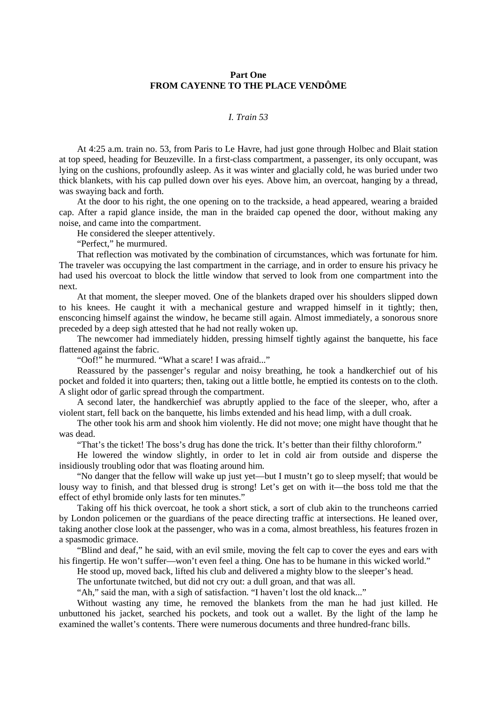## **Part One FROM CAYENNE TO THE PLACE VENDÔME**

## *I. Train 53*

At 4:25 a.m. train no. 53, from Paris to Le Havre, had just gone through Holbec and Blait station at top speed, heading for Beuzeville. In a first-class compartment, a passenger, its only occupant, was lying on the cushions, profoundly asleep. As it was winter and glacially cold, he was buried under two thick blankets, with his cap pulled down over his eyes. Above him, an overcoat, hanging by a thread, was swaying back and forth.

At the door to his right, the one opening on to the trackside, a head appeared, wearing a braided cap. After a rapid glance inside, the man in the braided cap opened the door, without making any noise, and came into the compartment.

He considered the sleeper attentively.

"Perfect," he murmured.

That reflection was motivated by the combination of circumstances, which was fortunate for him. The traveler was occupying the last compartment in the carriage, and in order to ensure his privacy he had used his overcoat to block the little window that served to look from one compartment into the next.

At that moment, the sleeper moved. One of the blankets draped over his shoulders slipped down to his knees. He caught it with a mechanical gesture and wrapped himself in it tightly; then, ensconcing himself against the window, he became still again. Almost immediately, a sonorous snore preceded by a deep sigh attested that he had not really woken up.

The newcomer had immediately hidden, pressing himself tightly against the banquette, his face flattened against the fabric.

"Oof!" he murmured. "What a scare! I was afraid..."

Reassured by the passenger's regular and noisy breathing, he took a handkerchief out of his pocket and folded it into quarters; then, taking out a little bottle, he emptied its contests on to the cloth. A slight odor of garlic spread through the compartment.

A second later, the handkerchief was abruptly applied to the face of the sleeper, who, after a violent start, fell back on the banquette, his limbs extended and his head limp, with a dull croak.

The other took his arm and shook him violently. He did not move; one might have thought that he was dead.

"That's the ticket! The boss's drug has done the trick. It's better than their filthy chloroform."

He lowered the window slightly, in order to let in cold air from outside and disperse the insidiously troubling odor that was floating around him.

"No danger that the fellow will wake up just yet—but I mustn't go to sleep myself; that would be lousy way to finish, and that blessed drug is strong! Let's get on with it—the boss told me that the effect of ethyl bromide only lasts for ten minutes."

Taking off his thick overcoat, he took a short stick, a sort of club akin to the truncheons carried by London policemen or the guardians of the peace directing traffic at intersections. He leaned over, taking another close look at the passenger, who was in a coma, almost breathless, his features frozen in a spasmodic grimace.

"Blind and deaf," he said, with an evil smile, moving the felt cap to cover the eyes and ears with his fingertip. He won't suffer—won't even feel a thing. One has to be humane in this wicked world."

He stood up, moved back, lifted his club and delivered a mighty blow to the sleeper's head.

The unfortunate twitched, but did not cry out: a dull groan, and that was all.

"Ah," said the man, with a sigh of satisfaction. "I haven't lost the old knack..."

Without wasting any time, he removed the blankets from the man he had just killed. He unbuttoned his jacket, searched his pockets, and took out a wallet. By the light of the lamp he examined the wallet's contents. There were numerous documents and three hundred-franc bills.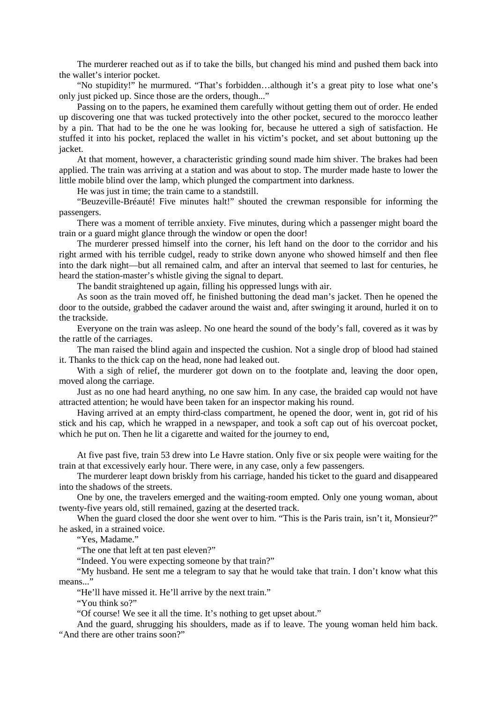The murderer reached out as if to take the bills, but changed his mind and pushed them back into the wallet's interior pocket.

"No stupidity!" he murmured. "That's forbidden…although it's a great pity to lose what one's only just picked up. Since those are the orders, though..."

Passing on to the papers, he examined them carefully without getting them out of order. He ended up discovering one that was tucked protectively into the other pocket, secured to the morocco leather by a pin. That had to be the one he was looking for, because he uttered a sigh of satisfaction. He stuffed it into his pocket, replaced the wallet in his victim's pocket, and set about buttoning up the jacket.

At that moment, however, a characteristic grinding sound made him shiver. The brakes had been applied. The train was arriving at a station and was about to stop. The murder made haste to lower the little mobile blind over the lamp, which plunged the compartment into darkness.

He was just in time; the train came to a standstill.

"Beuzeville-Bréauté! Five minutes halt!" shouted the crewman responsible for informing the passengers.

There was a moment of terrible anxiety. Five minutes, during which a passenger might board the train or a guard might glance through the window or open the door!

The murderer pressed himself into the corner, his left hand on the door to the corridor and his right armed with his terrible cudgel, ready to strike down anyone who showed himself and then flee into the dark night—but all remained calm, and after an interval that seemed to last for centuries, he heard the station-master's whistle giving the signal to depart.

The bandit straightened up again, filling his oppressed lungs with air.

As soon as the train moved off, he finished buttoning the dead man's jacket. Then he opened the door to the outside, grabbed the cadaver around the waist and, after swinging it around, hurled it on to the trackside.

Everyone on the train was asleep. No one heard the sound of the body's fall, covered as it was by the rattle of the carriages.

The man raised the blind again and inspected the cushion. Not a single drop of blood had stained it. Thanks to the thick cap on the head, none had leaked out.

With a sigh of relief, the murderer got down on to the footplate and, leaving the door open, moved along the carriage.

Just as no one had heard anything, no one saw him. In any case, the braided cap would not have attracted attention; he would have been taken for an inspector making his round.

Having arrived at an empty third-class compartment, he opened the door, went in, got rid of his stick and his cap, which he wrapped in a newspaper, and took a soft cap out of his overcoat pocket, which he put on. Then he lit a cigarette and waited for the journey to end,

At five past five, train 53 drew into Le Havre station. Only five or six people were waiting for the train at that excessively early hour. There were, in any case, only a few passengers.

The murderer leapt down briskly from his carriage, handed his ticket to the guard and disappeared into the shadows of the streets.

One by one, the travelers emerged and the waiting-room empted. Only one young woman, about twenty-five years old, still remained, gazing at the deserted track.

When the guard closed the door she went over to him. "This is the Paris train, isn't it, Monsieur?" he asked, in a strained voice.

"Yes, Madame."

"The one that left at ten past eleven?"

"Indeed. You were expecting someone by that train?"

"My husband. He sent me a telegram to say that he would take that train. I don't know what this means..."

"He'll have missed it. He'll arrive by the next train."

"You think so?"

"Of course! We see it all the time. It's nothing to get upset about."

And the guard, shrugging his shoulders, made as if to leave. The young woman held him back. "And there are other trains soon?"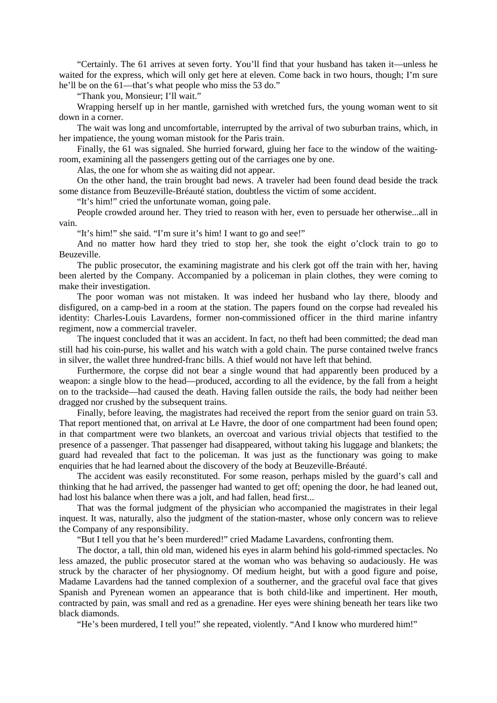"Certainly. The 61 arrives at seven forty. You'll find that your husband has taken it—unless he waited for the express, which will only get here at eleven. Come back in two hours, though; I'm sure he'll be on the 61—that's what people who miss the 53 do."

"Thank you, Monsieur; I'll wait."

Wrapping herself up in her mantle, garnished with wretched furs, the young woman went to sit down in a corner.

The wait was long and uncomfortable, interrupted by the arrival of two suburban trains, which, in her impatience, the young woman mistook for the Paris train.

Finally, the 61 was signaled. She hurried forward, gluing her face to the window of the waitingroom, examining all the passengers getting out of the carriages one by one.

Alas, the one for whom she as waiting did not appear.

On the other hand, the train brought bad news. A traveler had been found dead beside the track some distance from Beuzeville-Bréauté station, doubtless the victim of some accident.

"It's him!" cried the unfortunate woman, going pale.

People crowded around her. They tried to reason with her, even to persuade her otherwise...all in vain.

"It's him!" she said. "I'm sure it's him! I want to go and see!"

And no matter how hard they tried to stop her, she took the eight o'clock train to go to Beuzeville.

The public prosecutor, the examining magistrate and his clerk got off the train with her, having been alerted by the Company. Accompanied by a policeman in plain clothes, they were coming to make their investigation.

The poor woman was not mistaken. It was indeed her husband who lay there, bloody and disfigured, on a camp-bed in a room at the station. The papers found on the corpse had revealed his identity: Charles-Louis Lavardens, former non-commissioned officer in the third marine infantry regiment, now a commercial traveler.

The inquest concluded that it was an accident. In fact, no theft had been committed; the dead man still had his coin-purse, his wallet and his watch with a gold chain. The purse contained twelve francs in silver, the wallet three hundred-franc bills. A thief would not have left that behind.

Furthermore, the corpse did not bear a single wound that had apparently been produced by a weapon: a single blow to the head—produced, according to all the evidence, by the fall from a height on to the trackside—had caused the death. Having fallen outside the rails, the body had neither been dragged nor crushed by the subsequent trains.

Finally, before leaving, the magistrates had received the report from the senior guard on train 53. That report mentioned that, on arrival at Le Havre, the door of one compartment had been found open; in that compartment were two blankets, an overcoat and various trivial objects that testified to the presence of a passenger. That passenger had disappeared, without taking his luggage and blankets; the guard had revealed that fact to the policeman. It was just as the functionary was going to make enquiries that he had learned about the discovery of the body at Beuzeville-Bréauté.

The accident was easily reconstituted. For some reason, perhaps misled by the guard's call and thinking that he had arrived, the passenger had wanted to get off; opening the door, he had leaned out, had lost his balance when there was a jolt, and had fallen, head first...

That was the formal judgment of the physician who accompanied the magistrates in their legal inquest. It was, naturally, also the judgment of the station-master, whose only concern was to relieve the Company of any responsibility.

"But I tell you that he's been murdered!" cried Madame Lavardens, confronting them.

The doctor, a tall, thin old man, widened his eyes in alarm behind his gold-rimmed spectacles. No less amazed, the public prosecutor stared at the woman who was behaving so audaciously. He was struck by the character of her physiognomy. Of medium height, but with a good figure and poise, Madame Lavardens had the tanned complexion of a southerner, and the graceful oval face that gives Spanish and Pyrenean women an appearance that is both child-like and impertinent. Her mouth, contracted by pain, was small and red as a grenadine. Her eyes were shining beneath her tears like two black diamonds.

"He's been murdered, I tell you!" she repeated, violently. "And I know who murdered him!"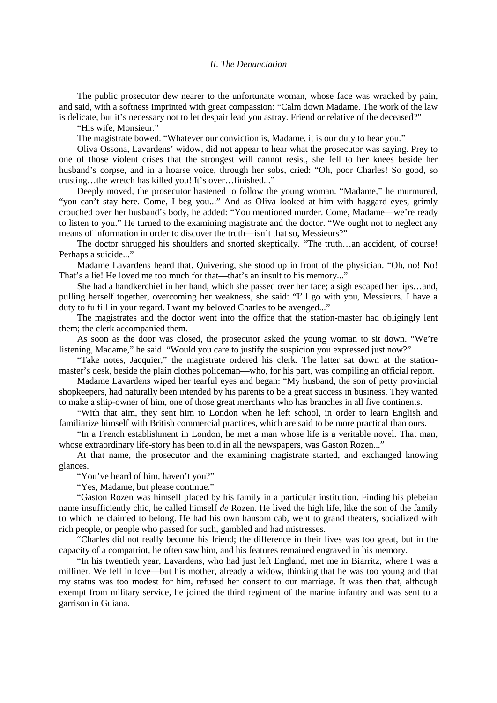## *II. The Denunciation*

The public prosecutor dew nearer to the unfortunate woman, whose face was wracked by pain, and said, with a softness imprinted with great compassion: "Calm down Madame. The work of the law is delicate, but it's necessary not to let despair lead you astray. Friend or relative of the deceased?"

"His wife, Monsieur."

The magistrate bowed. "Whatever our conviction is, Madame, it is our duty to hear you."

Oliva Ossona, Lavardens' widow, did not appear to hear what the prosecutor was saying. Prey to one of those violent crises that the strongest will cannot resist, she fell to her knees beside her husband's corpse, and in a hoarse voice, through her sobs, cried: "Oh, poor Charles! So good, so trusting…the wretch has killed you! It's over…finished..."

Deeply moved, the prosecutor hastened to follow the young woman. "Madame," he murmured, "you can't stay here. Come, I beg you..." And as Oliva looked at him with haggard eyes, grimly crouched over her husband's body, he added: "You mentioned murder. Come, Madame—we're ready to listen to you." He turned to the examining magistrate and the doctor. "We ought not to neglect any means of information in order to discover the truth—isn't that so, Messieurs?"

The doctor shrugged his shoulders and snorted skeptically. "The truth...an accident, of course! Perhaps a suicide..."

Madame Lavardens heard that. Quivering, she stood up in front of the physician. "Oh, no! No! That's a lie! He loved me too much for that—that's an insult to his memory..."

She had a handkerchief in her hand, which she passed over her face; a sigh escaped her lips…and, pulling herself together, overcoming her weakness, she said: "I'll go with you, Messieurs. I have a duty to fulfill in your regard. I want my beloved Charles to be avenged..."

The magistrates and the doctor went into the office that the station-master had obligingly lent them; the clerk accompanied them.

As soon as the door was closed, the prosecutor asked the young woman to sit down. "We're listening, Madame," he said. "Would you care to justify the suspicion you expressed just now?"

"Take notes, Jacquier," the magistrate ordered his clerk. The latter sat down at the stationmaster's desk, beside the plain clothes policeman—who, for his part, was compiling an official report.

Madame Lavardens wiped her tearful eyes and began: "My husband, the son of petty provincial shopkeepers, had naturally been intended by his parents to be a great success in business. They wanted to make a ship-owner of him, one of those great merchants who has branches in all five continents.

"With that aim, they sent him to London when he left school, in order to learn English and familiarize himself with British commercial practices, which are said to be more practical than ours.

"In a French establishment in London, he met a man whose life is a veritable novel. That man, whose extraordinary life-story has been told in all the newspapers, was Gaston Rozen..."

At that name, the prosecutor and the examining magistrate started, and exchanged knowing glances.

"You've heard of him, haven't you?"

"Yes, Madame, but please continue."

"Gaston Rozen was himself placed by his family in a particular institution. Finding his plebeian name insufficiently chic, he called himself *de* Rozen. He lived the high life, like the son of the family to which he claimed to belong. He had his own hansom cab, went to grand theaters, socialized with rich people, or people who passed for such, gambled and had mistresses.

"Charles did not really become his friend; the difference in their lives was too great, but in the capacity of a compatriot, he often saw him, and his features remained engraved in his memory.

"In his twentieth year, Lavardens, who had just left England, met me in Biarritz, where I was a milliner. We fell in love—but his mother, already a widow, thinking that he was too young and that my status was too modest for him, refused her consent to our marriage. It was then that, although exempt from military service, he joined the third regiment of the marine infantry and was sent to a garrison in Guiana.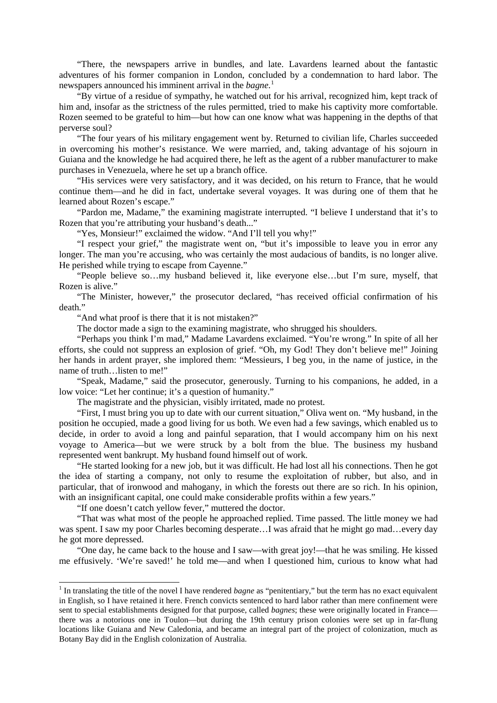"There, the newspapers arrive in bundles, and late. Lavardens learned about the fantastic adventures of his former companion in London, concluded by a condemnation to hard labor. The newspapers announced his imminent arrival in the *bagne*. [1](#page-5-0)

"By virtue of a residue of sympathy, he watched out for his arrival, recognized him, kept track of him and, insofar as the strictness of the rules permitted, tried to make his captivity more comfortable. Rozen seemed to be grateful to him—but how can one know what was happening in the depths of that perverse soul?

"The four years of his military engagement went by. Returned to civilian life, Charles succeeded in overcoming his mother's resistance. We were married, and, taking advantage of his sojourn in Guiana and the knowledge he had acquired there, he left as the agent of a rubber manufacturer to make purchases in Venezuela, where he set up a branch office.

"His services were very satisfactory, and it was decided, on his return to France, that he would continue them—and he did in fact, undertake several voyages. It was during one of them that he learned about Rozen's escape."

"Pardon me, Madame," the examining magistrate interrupted. "I believe I understand that it's to Rozen that you're attributing your husband's death..."

"Yes, Monsieur!" exclaimed the widow. "And I'll tell you why!"

"I respect your grief," the magistrate went on, "but it's impossible to leave you in error any longer. The man you're accusing, who was certainly the most audacious of bandits, is no longer alive. He perished while trying to escape from Cayenne."

"People believe so…my husband believed it, like everyone else…but I'm sure, myself, that Rozen is alive."

"The Minister, however," the prosecutor declared, "has received official confirmation of his death"

"And what proof is there that it is not mistaken?"

The doctor made a sign to the examining magistrate, who shrugged his shoulders.

"Perhaps you think I'm mad," Madame Lavardens exclaimed. "You're wrong." In spite of all her efforts, she could not suppress an explosion of grief. "Oh, my God! They don't believe me!" Joining her hands in ardent prayer, she implored them: "Messieurs, I beg you, in the name of justice, in the name of truth…listen to me!"

"Speak, Madame," said the prosecutor, generously. Turning to his companions, he added, in a low voice: "Let her continue; it's a question of humanity."

The magistrate and the physician, visibly irritated, made no protest.

"First, I must bring you up to date with our current situation," Oliva went on. "My husband, in the position he occupied, made a good living for us both. We even had a few savings, which enabled us to decide, in order to avoid a long and painful separation, that I would accompany him on his next voyage to America—but we were struck by a bolt from the blue. The business my husband represented went bankrupt. My husband found himself out of work.

"He started looking for a new job, but it was difficult. He had lost all his connections. Then he got the idea of starting a company, not only to resume the exploitation of rubber, but also, and in particular, that of ironwood and mahogany, in which the forests out there are so rich. In his opinion, with an insignificant capital, one could make considerable profits within a few years."

"If one doesn't catch yellow fever," muttered the doctor.

"That was what most of the people he approached replied. Time passed. The little money we had was spent. I saw my poor Charles becoming desperate...I was afraid that he might go mad...every day he got more depressed.

"One day, he came back to the house and I saw—with great joy!—that he was smiling. He kissed me effusively. 'We're saved!' he told me—and when I questioned him, curious to know what had

<span id="page-5-0"></span><sup>&</sup>lt;sup>1</sup> In translating the title of the novel I have rendered *bagne* as "penitentiary," but the term has no exact equivalent in English, so I have retained it here. French convicts sentenced to hard labor rather than mere confinement were sent to special establishments designed for that purpose, called *bagnes*; these were originally located in France there was a notorious one in Toulon—but during the 19th century prison colonies were set up in far-flung locations like Guiana and New Caledonia, and became an integral part of the project of colonization, much as Botany Bay did in the English colonization of Australia.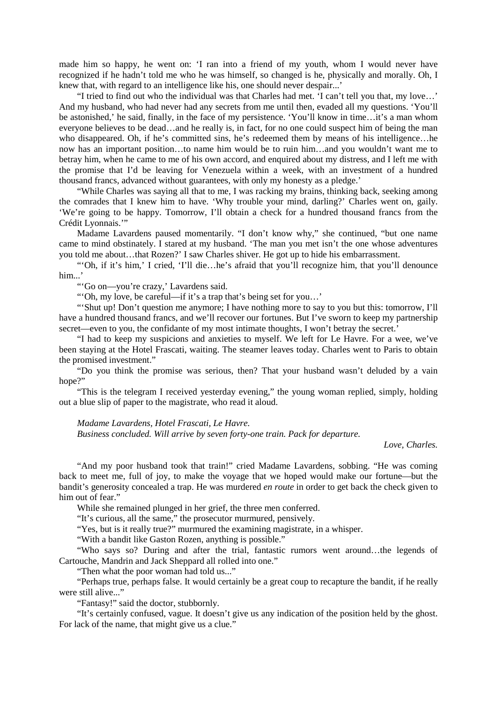made him so happy, he went on: 'I ran into a friend of my youth, whom I would never have recognized if he hadn't told me who he was himself, so changed is he, physically and morally. Oh, I knew that, with regard to an intelligence like his, one should never despair...'

"I tried to find out who the individual was that Charles had met. 'I can't tell you that, my love…' And my husband, who had never had any secrets from me until then, evaded all my questions. 'You'll be astonished,' he said, finally, in the face of my persistence. 'You'll know in time…it's a man whom everyone believes to be dead…and he really is, in fact, for no one could suspect him of being the man who disappeared. Oh, if he's committed sins, he's redeemed them by means of his intelligence…he now has an important position…to name him would be to ruin him…and you wouldn't want me to betray him, when he came to me of his own accord, and enquired about my distress, and I left me with the promise that I'd be leaving for Venezuela within a week, with an investment of a hundred thousand francs, advanced without guarantees, with only my honesty as a pledge.'

"While Charles was saying all that to me, I was racking my brains, thinking back, seeking among the comrades that I knew him to have. 'Why trouble your mind, darling?' Charles went on, gaily. 'We're going to be happy. Tomorrow, I'll obtain a check for a hundred thousand francs from the Crédit Lyonnais.'"

Madame Lavardens paused momentarily. "I don't know why," she continued, "but one name came to mind obstinately. I stared at my husband. 'The man you met isn't the one whose adventures you told me about…that Rozen?' I saw Charles shiver. He got up to hide his embarrassment.

"'Oh, if it's him,' I cried, 'I'll die…he's afraid that you'll recognize him, that you'll denounce him...'

"'Go on—you're crazy,' Lavardens said.

"'Oh, my love, be careful—if it's a trap that's being set for you…'

"'Shut up! Don't question me anymore; I have nothing more to say to you but this: tomorrow, I'll have a hundred thousand francs, and we'll recover our fortunes. But I've sworn to keep my partnership secret—even to you, the confidante of my most intimate thoughts, I won't betray the secret.'

"I had to keep my suspicions and anxieties to myself. We left for Le Havre. For a wee, we've been staying at the Hotel Frascati, waiting. The steamer leaves today. Charles went to Paris to obtain the promised investment."

"Do you think the promise was serious, then? That your husband wasn't deluded by a vain hope?"

"This is the telegram I received yesterday evening," the young woman replied, simply, holding out a blue slip of paper to the magistrate, who read it aloud.

*Madame Lavardens, Hotel Frascati, Le Havre.*

*Business concluded. Will arrive by seven forty-one train. Pack for departure.*

*Love, Charles.*

"And my poor husband took that train!" cried Madame Lavardens, sobbing. "He was coming back to meet me, full of joy, to make the voyage that we hoped would make our fortune—but the bandit's generosity concealed a trap. He was murdered *en route* in order to get back the check given to him out of fear."

While she remained plunged in her grief, the three men conferred.

"It's curious, all the same," the prosecutor murmured, pensively.

"Yes, but is it really true?" murmured the examining magistrate, in a whisper.

"With a bandit like Gaston Rozen, anything is possible."

"Who says so? During and after the trial, fantastic rumors went around…the legends of Cartouche, Mandrin and Jack Sheppard all rolled into one."

"Then what the poor woman had told us..."

"Perhaps true, perhaps false. It would certainly be a great coup to recapture the bandit, if he really were still alive..."

"Fantasy!" said the doctor, stubbornly.

"It's certainly confused, vague. It doesn't give us any indication of the position held by the ghost. For lack of the name, that might give us a clue."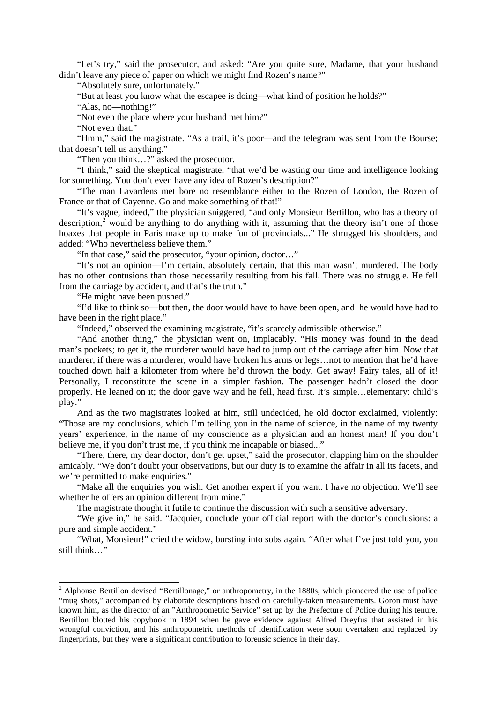"Let's try," said the prosecutor, and asked: "Are you quite sure, Madame, that your husband didn't leave any piece of paper on which we might find Rozen's name?"

"Absolutely sure, unfortunately."

"But at least you know what the escapee is doing—what kind of position he holds?"

"Alas, no—nothing!"

"Not even the place where your husband met him?"

"Not even that."

"Hmm," said the magistrate. "As a trail, it's poor—and the telegram was sent from the Bourse; that doesn't tell us anything."

"Then you think…?" asked the prosecutor.

"I think," said the skeptical magistrate, "that we'd be wasting our time and intelligence looking for something. You don't even have any idea of Rozen's description?"

"The man Lavardens met bore no resemblance either to the Rozen of London, the Rozen of France or that of Cayenne. Go and make something of that!"

"It's vague, indeed," the physician sniggered, "and only Monsieur Bertillon, who has a theory of description,<sup>[2](#page-7-0)</sup> would be anything to do anything with it, assuming that the theory isn't one of those hoaxes that people in Paris make up to make fun of provincials..." He shrugged his shoulders, and added: "Who nevertheless believe them."

"In that case," said the prosecutor, "your opinion, doctor…"

"It's not an opinion—I'm certain, absolutely certain, that this man wasn't murdered. The body has no other contusions than those necessarily resulting from his fall. There was no struggle. He fell from the carriage by accident, and that's the truth."

"He might have been pushed."

"I'd like to think so—but then, the door would have to have been open, and he would have had to have been in the right place."

"Indeed," observed the examining magistrate, "it's scarcely admissible otherwise."

"And another thing," the physician went on, implacably. "His money was found in the dead man's pockets; to get it, the murderer would have had to jump out of the carriage after him. Now that murderer, if there was a murderer, would have broken his arms or legs…not to mention that he'd have touched down half a kilometer from where he'd thrown the body. Get away! Fairy tales, all of it! Personally, I reconstitute the scene in a simpler fashion. The passenger hadn't closed the door properly. He leaned on it; the door gave way and he fell, head first. It's simple…elementary: child's play."

And as the two magistrates looked at him, still undecided, he old doctor exclaimed, violently: "Those are my conclusions, which I'm telling you in the name of science, in the name of my twenty years' experience, in the name of my conscience as a physician and an honest man! If you don't believe me, if you don't trust me, if you think me incapable or biased..."

"There, there, my dear doctor, don't get upset," said the prosecutor, clapping him on the shoulder amicably. "We don't doubt your observations, but our duty is to examine the affair in all its facets, and we're permitted to make enquiries."

"Make all the enquiries you wish. Get another expert if you want. I have no objection. We'll see whether he offers an opinion different from mine."

The magistrate thought it futile to continue the discussion with such a sensitive adversary.

"We give in," he said. "Jacquier, conclude your official report with the doctor's conclusions: a pure and simple accident."

"What, Monsieur!" cried the widow, bursting into sobs again. "After what I've just told you, you still think…"

<span id="page-7-0"></span><sup>&</sup>lt;sup>2</sup> Alphonse Bertillon devised "Bertillonage," or anthropometry, in the 1880s, which pioneered the use of police "mug shots," accompanied by elaborate descriptions based on carefully-taken measurements. Goron must have known him, as the director of an "Anthropometric Service" set up by the Prefecture of Police during his tenure. Bertillon blotted his copybook in 1894 when he gave evidence against Alfred Dreyfus that assisted in his wrongful conviction, and his anthropometric methods of identification were soon overtaken and replaced by fingerprints, but they were a significant contribution to forensic science in their day.